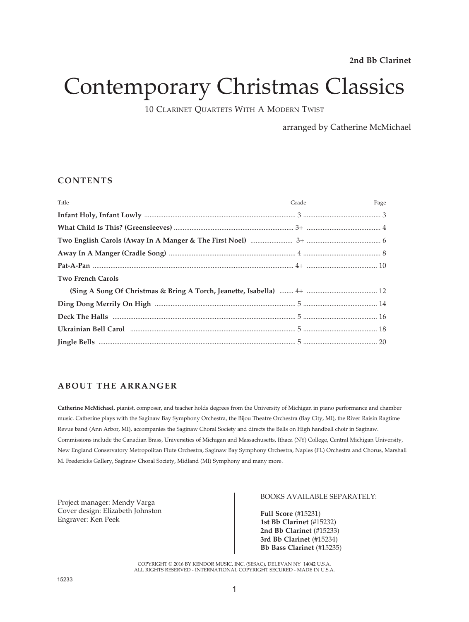# Contemporary Christmas Classics

10 CLARINET QUARTETS WITH A MODERN TWIST

arranged by Catherine McMichael

#### **CONTENTS**

| Title                    | Grade | Page |
|--------------------------|-------|------|
|                          |       |      |
|                          |       |      |
|                          |       |      |
|                          |       |      |
|                          |       |      |
| <b>Two French Carols</b> |       |      |
|                          |       |      |
|                          |       |      |
|                          |       |      |
|                          |       |      |
|                          |       |      |

### **ABOUT THE ARRANGER**

**Catherine McMichael**, pianist, composer, and teacher holds degrees from the University of Michigan in piano performance and chamber music. Catherine plays with the Saginaw Bay Symphony Orchestra, the Bijou Theatre Orchestra (Bay City, MI), the River Raisin Ragtime Revue band (Ann Arbor, MI), accompanies the Saginaw Choral Society and directs the Bells on High handbell choir in Saginaw. Commissions include the Canadian Brass, Universities of Michigan and Massachusetts, Ithaca (NY) College, Central Michigan University, New England Conservatory Metropolitan Flute Orchestra, Saginaw Bay Symphony Orchestra, Naples (FL) Orchestra and Chorus, Marshall M. Fredericks Gallery, Saginaw Choral Society, Midland (MI) Symphony and many more.

Project manager: Mendy Varga Cover design: Elizabeth Johnston Engraver: Ken Peek

#### BOOKS AVAILABLE SEPARATELY:

**Full Score** (#15231) **1st Bb Clarinet** (#15232) **2nd Bb Clarinet** (#15233) **3rd Bb Clarinet** (#15234) **Bb Bass Clarinet** (#15235)

COPYRIGHT © 2016 BY KENDOR MUSIC, INC. (SESAC), DELEVAN NY 14042 U.S.A. ALL RIGHTS RESERVED - INTERNATIONAL COPYRIGHT SECURED - MADE IN U.S.A.